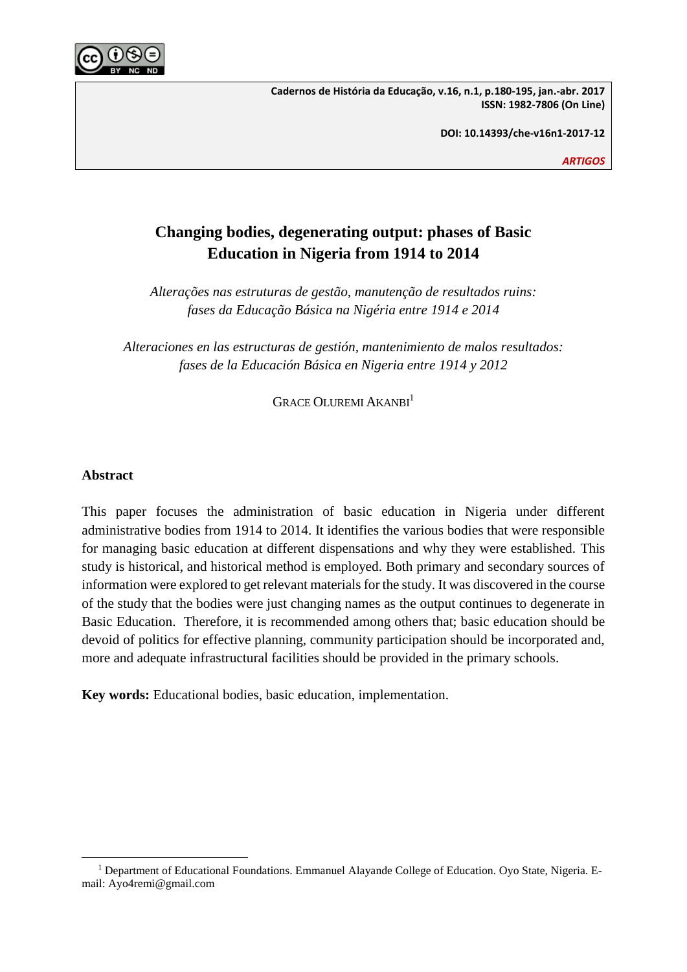

**Cadernos de História da Educação, v.16, n.1, p.180-195, jan.-abr. 2017 ISSN: 1982-7806 (On Line)**

**DOI: 10.14393/che-v16n1-2017-12**

*ARTIGOS*

# **Changing bodies, degenerating output: phases of Basic Education in Nigeria from 1914 to 2014**

*Alterações nas estruturas de gestão, manutenção de resultados ruins: fases da Educação Básica na Nigéria entre 1914 e 2014*

*Alteraciones en las estructuras de gestión, mantenimiento de malos resultados: fases de la Educación Básica en Nigeria entre 1914 y 2012*

GRACE OLUREMI AKANBI<sup>1</sup>

# **Abstract**

This paper focuses the administration of basic education in Nigeria under different administrative bodies from 1914 to 2014. It identifies the various bodies that were responsible for managing basic education at different dispensations and why they were established. This study is historical, and historical method is employed. Both primary and secondary sources of information were explored to get relevant materials for the study. It was discovered in the course of the study that the bodies were just changing names as the output continues to degenerate in Basic Education. Therefore, it is recommended among others that; basic education should be devoid of politics for effective planning, community participation should be incorporated and, more and adequate infrastructural facilities should be provided in the primary schools.

**Key words:** Educational bodies, basic education, implementation.

 $\overline{a}$ <sup>1</sup> Department of Educational Foundations. Emmanuel Alayande College of Education. Oyo State, Nigeria. Email: Ayo4remi@gmail.com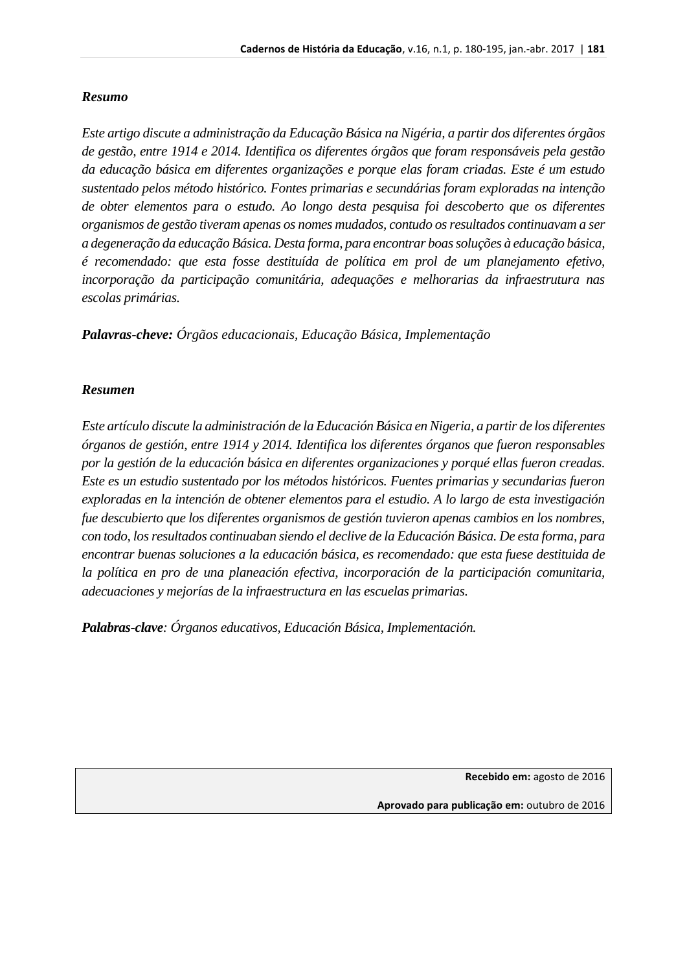# *Resumo*

*Este artigo discute a administração da Educação Básica na Nigéria, a partir dos diferentes órgãos de gestão, entre 1914 e 2014. Identifica os diferentes órgãos que foram responsáveis pela gestão da educação básica em diferentes organizações e porque elas foram criadas. Este é um estudo sustentado pelos método histórico. Fontes primarias e secundárias foram exploradas na intenção de obter elementos para o estudo. Ao longo desta pesquisa foi descoberto que os diferentes organismos de gestão tiveram apenas os nomes mudados, contudo os resultados continuavam a ser a degeneração da educação Básica. Desta forma, para encontrar boas soluções à educação básica, é recomendado: que esta fosse destituída de política em prol de um planejamento efetivo, incorporação da participação comunitária, adequações e melhorarias da infraestrutura nas escolas primárias.*

*Palavras-cheve: Órgãos educacionais, Educação Básica, Implementação* 

# *Resumen*

*Este artículo discute la administración de la Educación Básica en Nigeria, a partir de los diferentes órganos de gestión, entre 1914 y 2014. Identifica los diferentes órganos que fueron responsables por la gestión de la educación básica en diferentes organizaciones y porqué ellas fueron creadas. Este es un estudio sustentado por los métodos históricos. Fuentes primarias y secundarias fueron exploradas en la intención de obtener elementos para el estudio. A lo largo de esta investigación fue descubierto que los diferentes organismos de gestión tuvieron apenas cambios en los nombres, con todo, los resultados continuaban siendo el declive de la Educación Básica. De esta forma, para encontrar buenas soluciones a la educación básica, es recomendado: que esta fuese destituida de la política en pro de una planeación efectiva, incorporación de la participación comunitaria, adecuaciones y mejorías de la infraestructura en las escuelas primarias.* 

*Palabras-clave: Órganos educativos, Educación Básica, Implementación.*

**Recebido em:** agosto de 2016

**Aprovado para publicação em:** outubro de 2016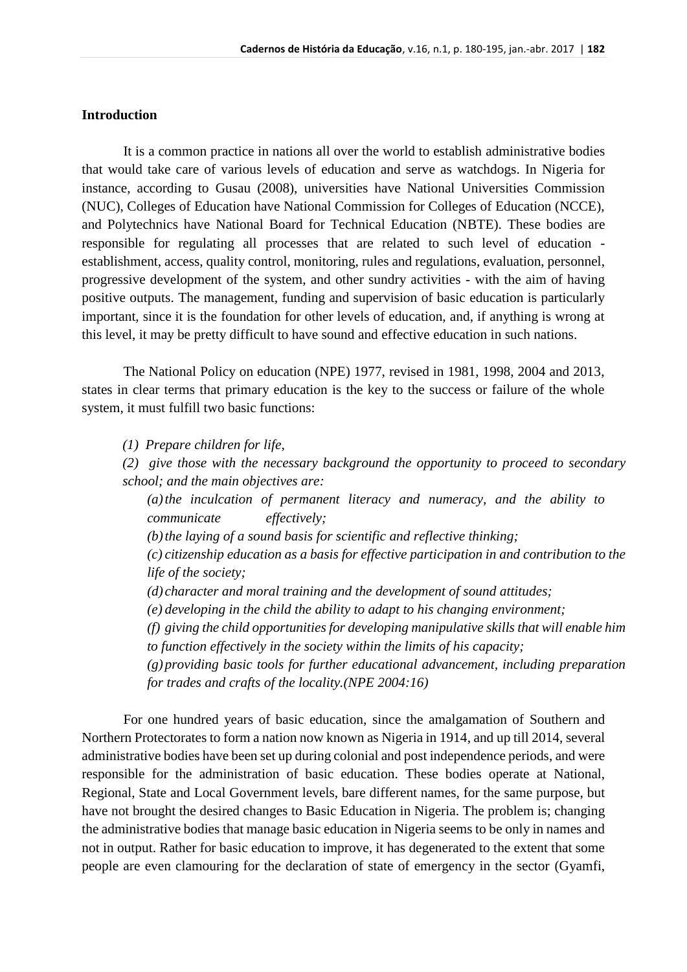### **Introduction**

It is a common practice in nations all over the world to establish administrative bodies that would take care of various levels of education and serve as watchdogs. In Nigeria for instance, according to Gusau (2008), universities have National Universities Commission (NUC), Colleges of Education have National Commission for Colleges of Education (NCCE), and Polytechnics have National Board for Technical Education (NBTE). These bodies are responsible for regulating all processes that are related to such level of education establishment, access, quality control, monitoring, rules and regulations, evaluation, personnel, progressive development of the system, and other sundry activities - with the aim of having positive outputs. The management, funding and supervision of basic education is particularly important, since it is the foundation for other levels of education, and, if anything is wrong at this level, it may be pretty difficult to have sound and effective education in such nations.

The National Policy on education (NPE) 1977, revised in 1981, 1998, 2004 and 2013, states in clear terms that primary education is the key to the success or failure of the whole system, it must fulfill two basic functions:

*(1) Prepare children for life,*

*(2) give those with the necessary background the opportunity to proceed to secondary school; and the main objectives are:*

*(a)the inculcation of permanent literacy and numeracy, and the ability to communicate effectively;*

*(b)the laying of a sound basis for scientific and reflective thinking;*

*(c) citizenship education as a basis for effective participation in and contribution to the life of the society;*

- *(d) character and moral training and the development of sound attitudes;*
- *(e) developing in the child the ability to adapt to his changing environment;*

*(f) giving the child opportunities for developing manipulative skills that will enable him to function effectively in the society within the limits of his capacity;*

*(g)providing basic tools for further educational advancement, including preparation for trades and crafts of the locality.(NPE 2004:16)*

For one hundred years of basic education, since the amalgamation of Southern and Northern Protectorates to form a nation now known as Nigeria in 1914, and up till 2014, several administrative bodies have been set up during colonial and post independence periods, and were responsible for the administration of basic education. These bodies operate at National, Regional, State and Local Government levels, bare different names, for the same purpose, but have not brought the desired changes to Basic Education in Nigeria. The problem is; changing the administrative bodies that manage basic education in Nigeria seems to be only in names and not in output. Rather for basic education to improve, it has degenerated to the extent that some people are even clamouring for the declaration of state of emergency in the sector (Gyamfi,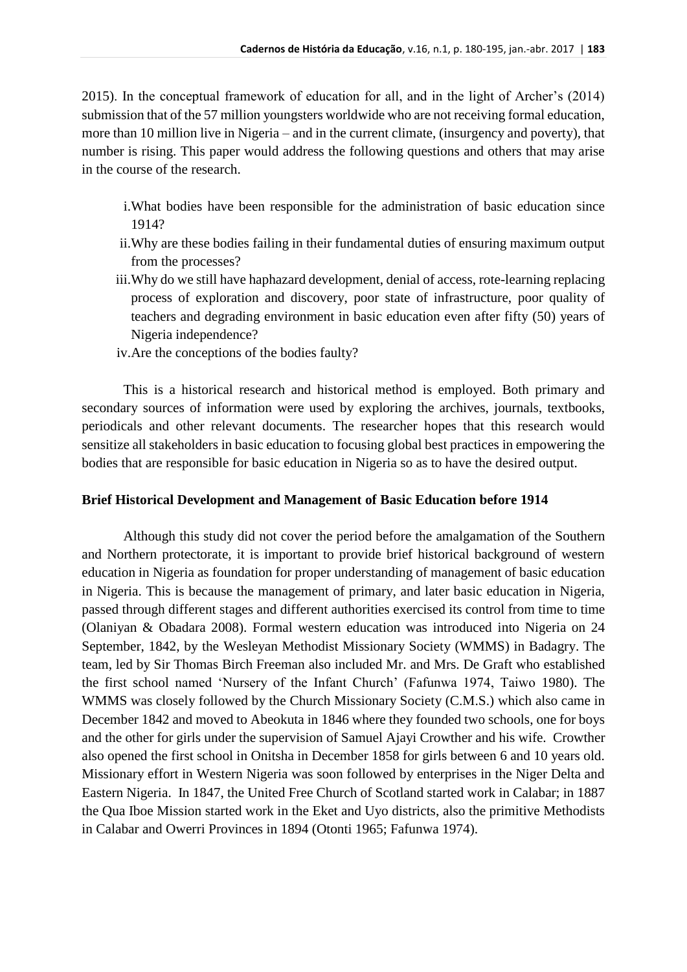2015). In the conceptual framework of education for all, and in the light of Archer's (2014) submission that of the 57 million youngsters worldwide who are not receiving formal education, more than 10 million live in Nigeria – and in the current climate, (insurgency and poverty), that number is rising. This paper would address the following questions and others that may arise in the course of the research.

- i.What bodies have been responsible for the administration of basic education since 1914?
- ii.Why are these bodies failing in their fundamental duties of ensuring maximum output from the processes?
- iii.Why do we still have haphazard development, denial of access, rote-learning replacing process of exploration and discovery, poor state of infrastructure, poor quality of teachers and degrading environment in basic education even after fifty (50) years of Nigeria independence?
- iv.Are the conceptions of the bodies faulty?

This is a historical research and historical method is employed. Both primary and secondary sources of information were used by exploring the archives, journals, textbooks, periodicals and other relevant documents. The researcher hopes that this research would sensitize all stakeholders in basic education to focusing global best practices in empowering the bodies that are responsible for basic education in Nigeria so as to have the desired output.

### **Brief Historical Development and Management of Basic Education before 1914**

Although this study did not cover the period before the amalgamation of the Southern and Northern protectorate, it is important to provide brief historical background of western education in Nigeria as foundation for proper understanding of management of basic education in Nigeria. This is because the management of primary, and later basic education in Nigeria, passed through different stages and different authorities exercised its control from time to time (Olaniyan & Obadara 2008). Formal western education was introduced into Nigeria on 24 September, 1842, by the Wesleyan Methodist Missionary Society (WMMS) in Badagry. The team, led by Sir Thomas Birch Freeman also included Mr. and Mrs. De Graft who established the first school named 'Nursery of the Infant Church' (Fafunwa 1974, Taiwo 1980). The WMMS was closely followed by the Church Missionary Society (C.M.S.) which also came in December 1842 and moved to Abeokuta in 1846 where they founded two schools, one for boys and the other for girls under the supervision of Samuel Ajayi Crowther and his wife. Crowther also opened the first school in Onitsha in December 1858 for girls between 6 and 10 years old. Missionary effort in Western Nigeria was soon followed by enterprises in the Niger Delta and Eastern Nigeria. In 1847, the United Free Church of Scotland started work in Calabar; in 1887 the Qua Iboe Mission started work in the Eket and Uyo districts, also the primitive Methodists in Calabar and Owerri Provinces in 1894 (Otonti 1965; Fafunwa 1974).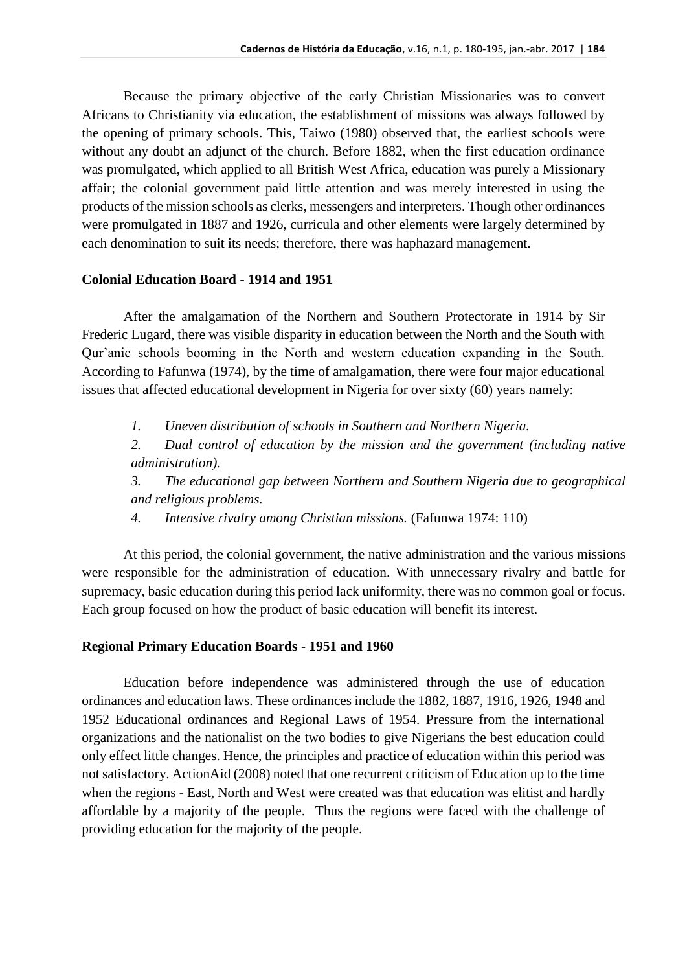Because the primary objective of the early Christian Missionaries was to convert Africans to Christianity via education, the establishment of missions was always followed by the opening of primary schools. This, Taiwo (1980) observed that, the earliest schools were without any doubt an adjunct of the church. Before 1882, when the first education ordinance was promulgated, which applied to all British West Africa, education was purely a Missionary affair; the colonial government paid little attention and was merely interested in using the products of the mission schools as clerks, messengers and interpreters. Though other ordinances were promulgated in 1887 and 1926, curricula and other elements were largely determined by each denomination to suit its needs; therefore, there was haphazard management.

# **Colonial Education Board - 1914 and 1951**

After the amalgamation of the Northern and Southern Protectorate in 1914 by Sir Frederic Lugard, there was visible disparity in education between the North and the South with Qur'anic schools booming in the North and western education expanding in the South. According to Fafunwa (1974), by the time of amalgamation, there were four major educational issues that affected educational development in Nigeria for over sixty (60) years namely:

*1. Uneven distribution of schools in Southern and Northern Nigeria.*

*2. Dual control of education by the mission and the government (including native administration).*

*3. The educational gap between Northern and Southern Nigeria due to geographical and religious problems.*

*4. Intensive rivalry among Christian missions.* (Fafunwa 1974: 110)

At this period, the colonial government, the native administration and the various missions were responsible for the administration of education. With unnecessary rivalry and battle for supremacy, basic education during this period lack uniformity, there was no common goal or focus. Each group focused on how the product of basic education will benefit its interest.

# **Regional Primary Education Boards - 1951 and 1960**

Education before independence was administered through the use of education ordinances and education laws. These ordinances include the 1882, 1887, 1916, 1926, 1948 and 1952 Educational ordinances and Regional Laws of 1954. Pressure from the international organizations and the nationalist on the two bodies to give Nigerians the best education could only effect little changes. Hence, the principles and practice of education within this period was not satisfactory. ActionAid (2008) noted that one recurrent criticism of Education up to the time when the regions - East, North and West were created was that education was elitist and hardly affordable by a majority of the people. Thus the regions were faced with the challenge of providing education for the majority of the people.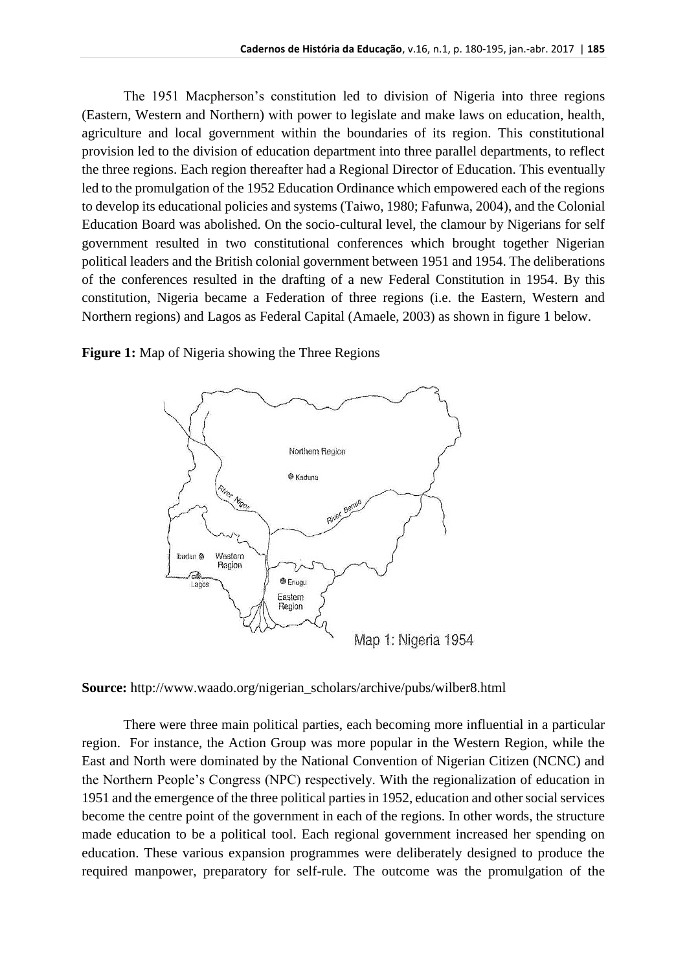The 1951 Macpherson's constitution led to division of Nigeria into three regions (Eastern, Western and Northern) with power to legislate and make laws on education, health, agriculture and local government within the boundaries of its region. This constitutional provision led to the division of education department into three parallel departments, to reflect the three regions. Each region thereafter had a Regional Director of Education. This eventually led to the promulgation of the 1952 Education Ordinance which empowered each of the regions to develop its educational policies and systems (Taiwo, 1980; Fafunwa, 2004), and the Colonial Education Board was abolished. On the socio-cultural level, the clamour by Nigerians for self government resulted in two constitutional conferences which brought together Nigerian political leaders and the British colonial government between 1951 and 1954. The deliberations of the conferences resulted in the drafting of a new Federal Constitution in 1954. By this constitution, Nigeria became a Federation of three regions (i.e. the Eastern, Western and Northern regions) and Lagos as Federal Capital (Amaele, 2003) as shown in figure 1 below.

> Northern Region <sup>®</sup> Kaduna Benue Ibadan @ Western Region C. @ Enugu Lagos Eastern Region Map 1: Nigeria 1954

**Figure 1:** Map of Nigeria showing the Three Regions

**Source:** http://www.waado.org/nigerian\_scholars/archive/pubs/wilber8.html

There were three main political parties, each becoming more influential in a particular region. For instance, the Action Group was more popular in the Western Region, while the East and North were dominated by the National Convention of Nigerian Citizen (NCNC) and the Northern People's Congress (NPC) respectively. With the regionalization of education in 1951 and the emergence of the three political parties in 1952, education and other social services become the centre point of the government in each of the regions. In other words, the structure made education to be a political tool. Each regional government increased her spending on education. These various expansion programmes were deliberately designed to produce the required manpower, preparatory for self-rule. The outcome was the promulgation of the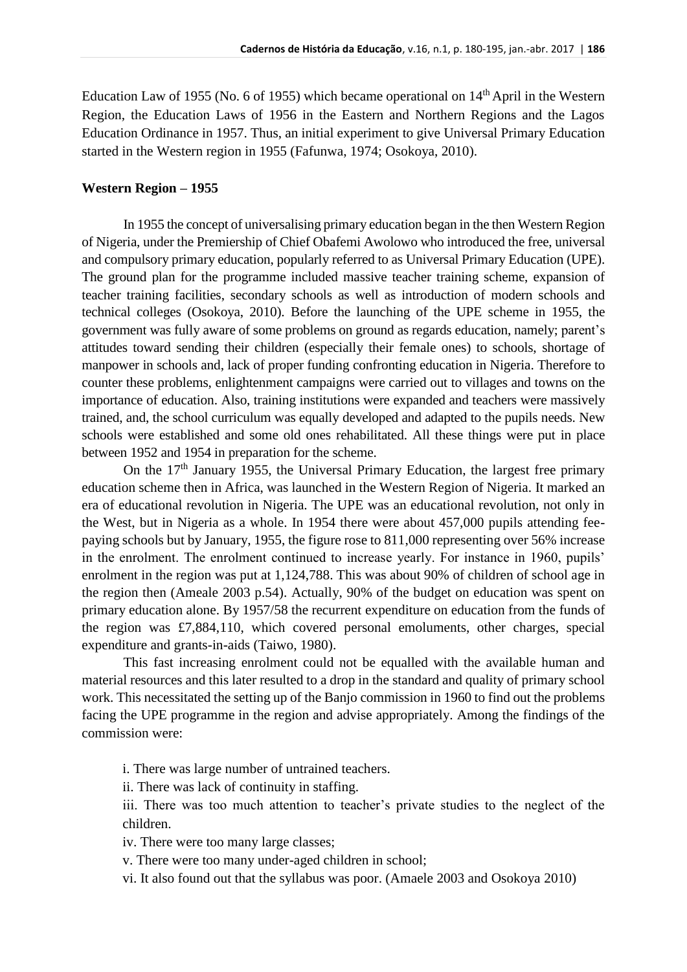Education Law of 1955 (No. 6 of 1955) which became operational on  $14<sup>th</sup>$  April in the Western Region, the Education Laws of 1956 in the Eastern and Northern Regions and the Lagos Education Ordinance in 1957. Thus, an initial experiment to give Universal Primary Education started in the Western region in 1955 (Fafunwa, 1974; Osokoya, 2010).

#### **Western Region – 1955**

In 1955 the concept of universalising primary education began in the then Western Region of Nigeria, under the Premiership of Chief Obafemi Awolowo who introduced the free, universal and compulsory primary education, popularly referred to as Universal Primary Education (UPE). The ground plan for the programme included massive teacher training scheme, expansion of teacher training facilities, secondary schools as well as introduction of modern schools and technical colleges (Osokoya, 2010). Before the launching of the UPE scheme in 1955, the government was fully aware of some problems on ground as regards education, namely; parent's attitudes toward sending their children (especially their female ones) to schools, shortage of manpower in schools and, lack of proper funding confronting education in Nigeria. Therefore to counter these problems, enlightenment campaigns were carried out to villages and towns on the importance of education. Also, training institutions were expanded and teachers were massively trained, and, the school curriculum was equally developed and adapted to the pupils needs. New schools were established and some old ones rehabilitated. All these things were put in place between 1952 and 1954 in preparation for the scheme.

On the 17<sup>th</sup> January 1955, the Universal Primary Education, the largest free primary education scheme then in Africa, was launched in the Western Region of Nigeria. It marked an era of educational revolution in Nigeria. The UPE was an educational revolution, not only in the West, but in Nigeria as a whole. In 1954 there were about 457,000 pupils attending feepaying schools but by January, 1955, the figure rose to 811,000 representing over 56% increase in the enrolment. The enrolment continued to increase yearly. For instance in 1960, pupils' enrolment in the region was put at 1,124,788. This was about 90% of children of school age in the region then (Ameale 2003 p.54). Actually, 90% of the budget on education was spent on primary education alone. By 1957/58 the recurrent expenditure on education from the funds of the region was £7,884,110, which covered personal emoluments, other charges, special expenditure and grants-in-aids (Taiwo, 1980).

This fast increasing enrolment could not be equalled with the available human and material resources and this later resulted to a drop in the standard and quality of primary school work. This necessitated the setting up of the Banjo commission in 1960 to find out the problems facing the UPE programme in the region and advise appropriately. Among the findings of the commission were:

i. There was large number of untrained teachers.

ii. There was lack of continuity in staffing.

iii. There was too much attention to teacher's private studies to the neglect of the children.

iv. There were too many large classes;

v. There were too many under-aged children in school;

vi. It also found out that the syllabus was poor. (Amaele 2003 and Osokoya 2010)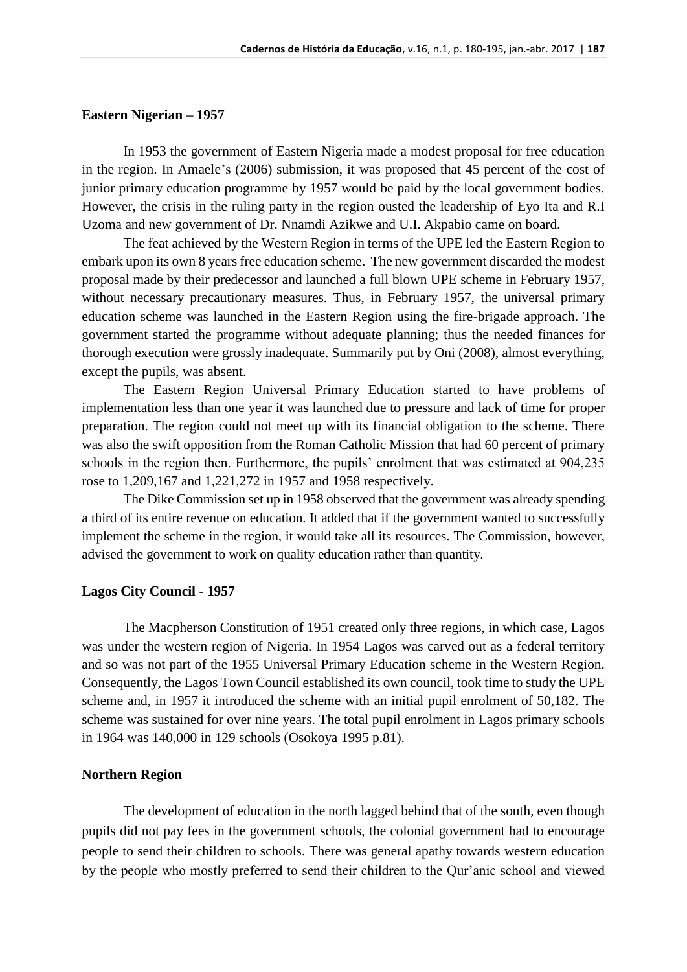#### **Eastern Nigerian – 1957**

In 1953 the government of Eastern Nigeria made a modest proposal for free education in the region. In Amaele's (2006) submission, it was proposed that 45 percent of the cost of junior primary education programme by 1957 would be paid by the local government bodies. However, the crisis in the ruling party in the region ousted the leadership of Eyo Ita and R.I Uzoma and new government of Dr. Nnamdi Azikwe and U.I. Akpabio came on board.

The feat achieved by the Western Region in terms of the UPE led the Eastern Region to embark upon its own 8 years free education scheme. The new government discarded the modest proposal made by their predecessor and launched a full blown UPE scheme in February 1957, without necessary precautionary measures. Thus, in February 1957, the universal primary education scheme was launched in the Eastern Region using the fire-brigade approach. The government started the programme without adequate planning; thus the needed finances for thorough execution were grossly inadequate. Summarily put by Oni (2008), almost everything, except the pupils, was absent.

The Eastern Region Universal Primary Education started to have problems of implementation less than one year it was launched due to pressure and lack of time for proper preparation. The region could not meet up with its financial obligation to the scheme. There was also the swift opposition from the Roman Catholic Mission that had 60 percent of primary schools in the region then. Furthermore, the pupils' enrolment that was estimated at 904,235 rose to 1,209,167 and 1,221,272 in 1957 and 1958 respectively.

The Dike Commission set up in 1958 observed that the government was already spending a third of its entire revenue on education. It added that if the government wanted to successfully implement the scheme in the region, it would take all its resources. The Commission, however, advised the government to work on quality education rather than quantity.

## **Lagos City Council - 1957**

The Macpherson Constitution of 1951 created only three regions, in which case, Lagos was under the western region of Nigeria. In 1954 Lagos was carved out as a federal territory and so was not part of the 1955 Universal Primary Education scheme in the Western Region. Consequently, the Lagos Town Council established its own council, took time to study the UPE scheme and, in 1957 it introduced the scheme with an initial pupil enrolment of 50,182. The scheme was sustained for over nine years. The total pupil enrolment in Lagos primary schools in 1964 was 140,000 in 129 schools (Osokoya 1995 p.81).

#### **Northern Region**

The development of education in the north lagged behind that of the south, even though pupils did not pay fees in the government schools, the colonial government had to encourage people to send their children to schools. There was general apathy towards western education by the people who mostly preferred to send their children to the Qur'anic school and viewed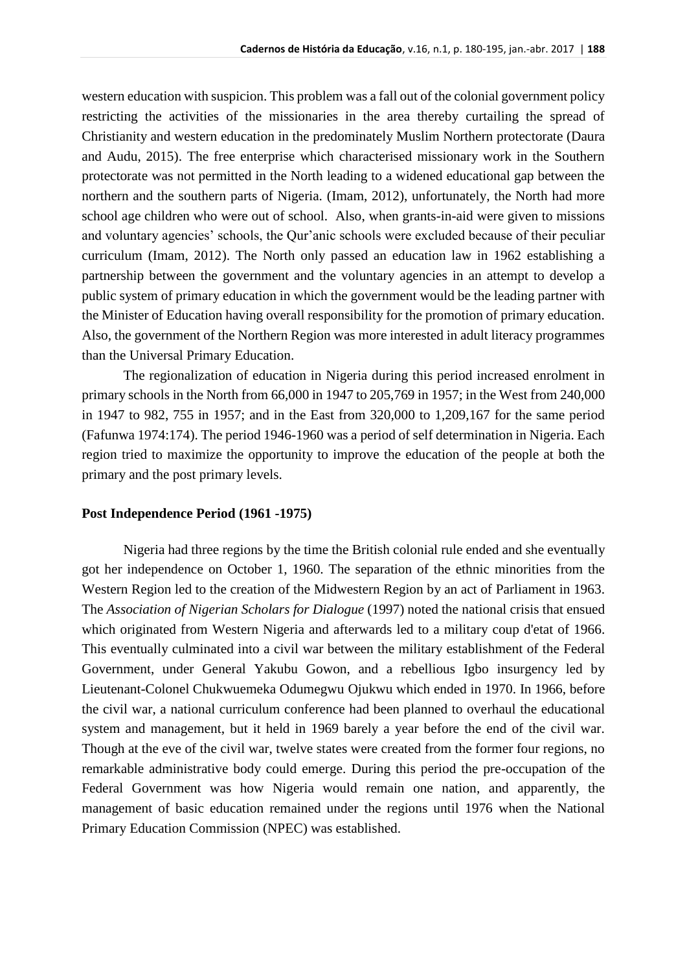western education with suspicion. This problem was a fall out of the colonial government policy restricting the activities of the missionaries in the area thereby curtailing the spread of Christianity and western education in the predominately Muslim Northern protectorate (Daura and Audu, 2015). The free enterprise which characterised missionary work in the Southern protectorate was not permitted in the North leading to a widened educational gap between the northern and the southern parts of Nigeria. (Imam, 2012), unfortunately, the North had more school age children who were out of school. Also, when grants-in-aid were given to missions and voluntary agencies' schools, the Qur'anic schools were excluded because of their peculiar curriculum (Imam, 2012). The North only passed an education law in 1962 establishing a partnership between the government and the voluntary agencies in an attempt to develop a public system of primary education in which the government would be the leading partner with the Minister of Education having overall responsibility for the promotion of primary education. Also, the government of the Northern Region was more interested in adult literacy programmes than the Universal Primary Education.

The regionalization of education in Nigeria during this period increased enrolment in primary schools in the North from 66,000 in 1947 to 205,769 in 1957; in the West from 240,000 in 1947 to 982, 755 in 1957; and in the East from 320,000 to 1,209,167 for the same period (Fafunwa 1974:174). The period 1946-1960 was a period of self determination in Nigeria. Each region tried to maximize the opportunity to improve the education of the people at both the primary and the post primary levels.

## **Post Independence Period (1961 -1975)**

Nigeria had three regions by the time the British colonial rule ended and she eventually got her independence on October 1, 1960. The separation of the ethnic minorities from the Western Region led to the creation of the Midwestern Region by an act of Parliament in 1963. The *Association of Nigerian Scholars for Dialogue* (1997) noted the national crisis that ensued which originated from Western Nigeria and afterwards led to a military coup d'etat of 1966. This eventually culminated into a civil war between the military establishment of the Federal Government, under General Yakubu Gowon, and a rebellious Igbo insurgency led by Lieutenant-Colonel Chukwuemeka Odumegwu Ojukwu which ended in 1970. In 1966, before the civil war, a national curriculum conference had been planned to overhaul the educational system and management, but it held in 1969 barely a year before the end of the civil war. Though at the eve of the civil war, twelve states were created from the former four regions, no remarkable administrative body could emerge. During this period the pre-occupation of the Federal Government was how Nigeria would remain one nation, and apparently, the management of basic education remained under the regions until 1976 when the National Primary Education Commission (NPEC) was established.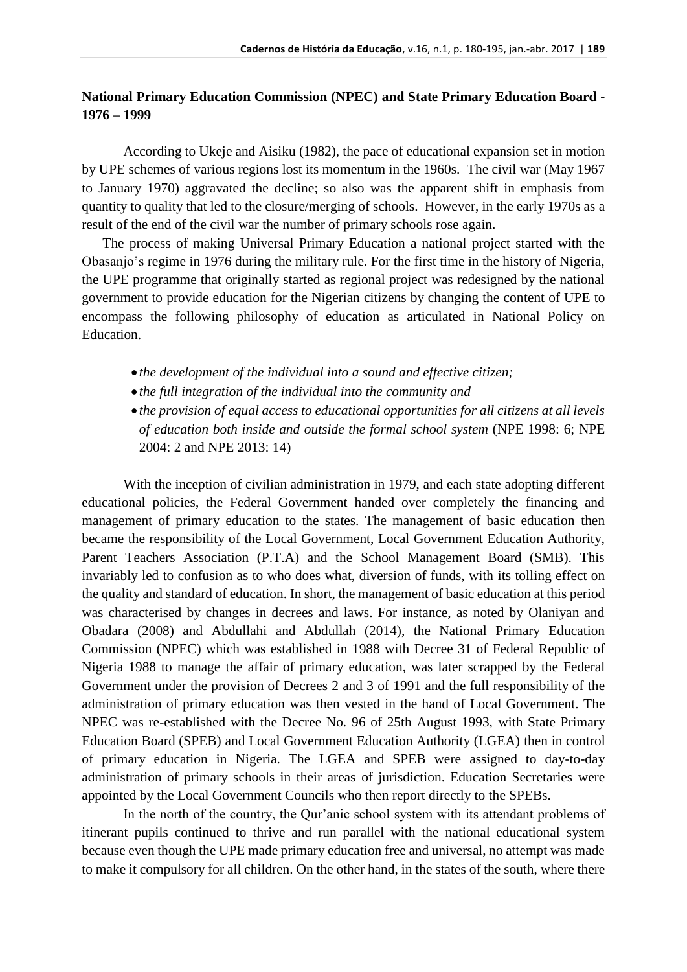# **National Primary Education Commission (NPEC) and State Primary Education Board - 1976 – 1999**

According to Ukeje and Aisiku (1982), the pace of educational expansion set in motion by UPE schemes of various regions lost its momentum in the 1960s. The civil war (May 1967 to January 1970) aggravated the decline; so also was the apparent shift in emphasis from quantity to quality that led to the closure/merging of schools. However, in the early 1970s as a result of the end of the civil war the number of primary schools rose again.

The process of making Universal Primary Education a national project started with the Obasanjo's regime in 1976 during the military rule. For the first time in the history of Nigeria, the UPE programme that originally started as regional project was redesigned by the national government to provide education for the Nigerian citizens by changing the content of UPE to encompass the following philosophy of education as articulated in National Policy on Education.

- *the development of the individual into a sound and effective citizen;*
- *the full integration of the individual into the community and*
- *the provision of equal access to educational opportunities for all citizens at all levels of education both inside and outside the formal school system* (NPE 1998: 6; NPE 2004: 2 and NPE 2013: 14)

With the inception of civilian administration in 1979, and each state adopting different educational policies, the Federal Government handed over completely the financing and management of primary education to the states. The management of basic education then became the responsibility of the Local Government, Local Government Education Authority, Parent Teachers Association (P.T.A) and the School Management Board (SMB). This invariably led to confusion as to who does what, diversion of funds, with its tolling effect on the quality and standard of education. In short, the management of basic education at this period was characterised by changes in decrees and laws. For instance, as noted by Olaniyan and Obadara (2008) and Abdullahi and Abdullah (2014), the National Primary Education Commission (NPEC) which was established in 1988 with Decree 31 of Federal Republic of Nigeria 1988 to manage the affair of primary education, was later scrapped by the Federal Government under the provision of Decrees 2 and 3 of 1991 and the full responsibility of the administration of primary education was then vested in the hand of Local Government. The NPEC was re-established with the Decree No. 96 of 25th August 1993, with State Primary Education Board (SPEB) and Local Government Education Authority (LGEA) then in control of primary education in Nigeria. The LGEA and SPEB were assigned to day-to-day administration of primary schools in their areas of jurisdiction. Education Secretaries were appointed by the Local Government Councils who then report directly to the SPEBs.

In the north of the country, the Qur'anic school system with its attendant problems of itinerant pupils continued to thrive and run parallel with the national educational system because even though the UPE made primary education free and universal, no attempt was made to make it compulsory for all children. On the other hand, in the states of the south, where there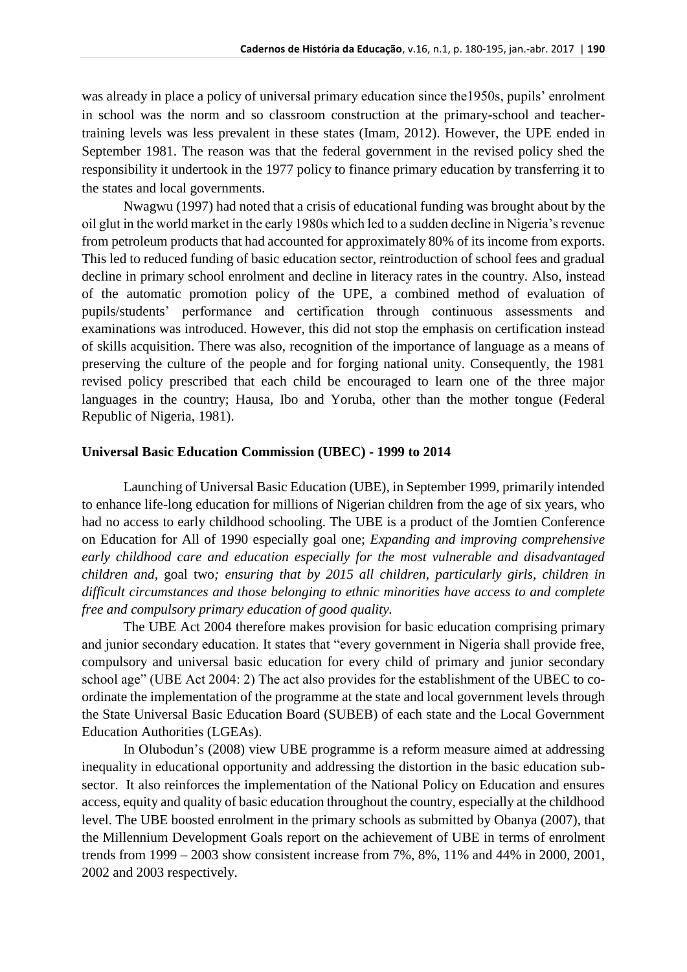was already in place a policy of universal primary education since the1950s, pupils' enrolment in school was the norm and so classroom construction at the primary-school and teachertraining levels was less prevalent in these states (Imam, 2012). However, the UPE ended in September 1981. The reason was that the federal government in the revised policy shed the responsibility it undertook in the 1977 policy to finance primary education by transferring it to the states and local governments.

Nwagwu (1997) had noted that a crisis of educational funding was brought about by the oil glut in the world market in the early 1980s which led to a sudden decline in Nigeria's revenue from petroleum products that had accounted for approximately 80% of its income from exports. This led to reduced funding of basic education sector, reintroduction of school fees and gradual decline in primary school enrolment and decline in literacy rates in the country. Also, instead of the automatic promotion policy of the UPE, a combined method of evaluation of pupils/students' performance and certification through continuous assessments and examinations was introduced. However, this did not stop the emphasis on certification instead of skills acquisition. There was also, recognition of the importance of language as a means of preserving the culture of the people and for forging national unity. Consequently, the 1981 revised policy prescribed that each child be encouraged to learn one of the three major languages in the country; Hausa, Ibo and Yoruba, other than the mother tongue (Federal Republic of Nigeria, 1981).

## **Universal Basic Education Commission (UBEC) - 1999 to 2014**

Launching of Universal Basic Education (UBE), in September 1999, primarily intended to enhance life-long education for millions of Nigerian children from the age of six years, who had no access to early childhood schooling. The UBE is a product of the Jomtien Conference on Education for All of 1990 especially goal one; *Expanding and improving comprehensive early childhood care and education especially for the most vulnerable and disadvantaged children and,* goal two*; ensuring that by 2015 all children, particularly girls, children in difficult circumstances and those belonging to ethnic minorities have access to and complete free and compulsory primary education of good quality.*

The UBE Act 2004 therefore makes provision for basic education comprising primary and junior secondary education. It states that "every government in Nigeria shall provide free, compulsory and universal basic education for every child of primary and junior secondary school age" (UBE Act 2004: 2) The act also provides for the establishment of the UBEC to coordinate the implementation of the programme at the state and local government levels through the State Universal Basic Education Board (SUBEB) of each state and the Local Government Education Authorities (LGEAs).

In Olubodun's (2008) view UBE programme is a reform measure aimed at addressing inequality in educational opportunity and addressing the distortion in the basic education subsector. It also reinforces the implementation of the National Policy on Education and ensures access, equity and quality of basic education throughout the country, especially at the childhood level. The UBE boosted enrolment in the primary schools as submitted by Obanya (2007), that the Millennium Development Goals report on the achievement of UBE in terms of enrolment trends from 1999 – 2003 show consistent increase from 7%, 8%, 11% and 44% in 2000, 2001, 2002 and 2003 respectively.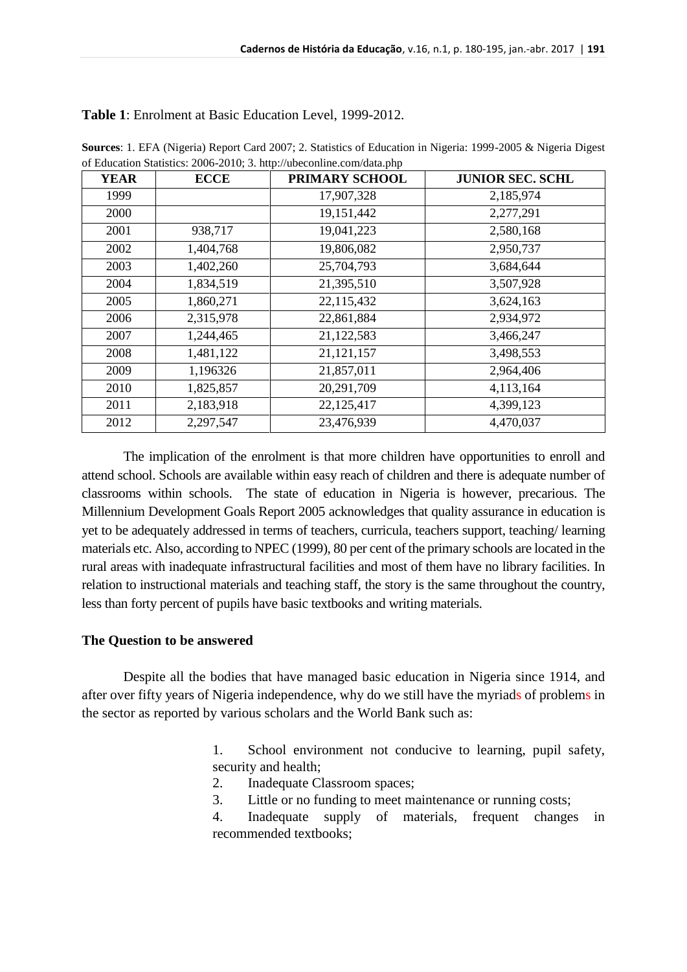| <b>YEAR</b> | <b>ECCE</b> | PRIMARY SCHOOL | <b>JUNIOR SEC. SCHL</b> |
|-------------|-------------|----------------|-------------------------|
| 1999        |             | 17,907,328     | 2,185,974               |
| 2000        |             | 19,151,442     | 2,277,291               |
| 2001        | 938,717     | 19,041,223     | 2,580,168               |
| 2002        | 1,404,768   | 19,806,082     | 2,950,737               |
| 2003        | 1,402,260   | 25,704,793     | 3,684,644               |
| 2004        | 1,834,519   | 21,395,510     | 3,507,928               |
| 2005        | 1,860,271   | 22,115,432     | 3,624,163               |
| 2006        | 2,315,978   | 22,861,884     | 2,934,972               |
| 2007        | 1,244,465   | 21,122,583     | 3,466,247               |
| 2008        | 1,481,122   | 21, 121, 157   | 3,498,553               |
| 2009        | 1,196326    | 21,857,011     | 2,964,406               |
| 2010        | 1,825,857   | 20,291,709     | 4,113,164               |
| 2011        | 2,183,918   | 22,125,417     | 4,399,123               |
| 2012        | 2,297,547   | 23,476,939     | 4,470,037               |

**Table 1**: Enrolment at Basic Education Level, 1999-2012.

**Sources**: 1. EFA (Nigeria) Report Card 2007; 2. Statistics of Education in Nigeria: 1999-2005 & Nigeria Digest of Education Statistics: 2006-2010; 3. http://ubeconline.com/data.php

The implication of the enrolment is that more children have opportunities to enroll and attend school. Schools are available within easy reach of children and there is adequate number of classrooms within schools. The state of education in Nigeria is however, precarious. The Millennium Development Goals Report 2005 acknowledges that quality assurance in education is yet to be adequately addressed in terms of teachers, curricula, teachers support, teaching/ learning materials etc. Also, according to NPEC (1999), 80 per cent of the primary schools are located in the rural areas with inadequate infrastructural facilities and most of them have no library facilities. In relation to instructional materials and teaching staff, the story is the same throughout the country, less than forty percent of pupils have basic textbooks and writing materials.

# **The Question to be answered**

Despite all the bodies that have managed basic education in Nigeria since 1914, and after over fifty years of Nigeria independence, why do we still have the myriads of problems in the sector as reported by various scholars and the World Bank such as:

> 1. School environment not conducive to learning, pupil safety, security and health;

- 2. Inadequate Classroom spaces;
- 3. Little or no funding to meet maintenance or running costs;
- 4. Inadequate supply of materials, frequent changes in recommended textbooks;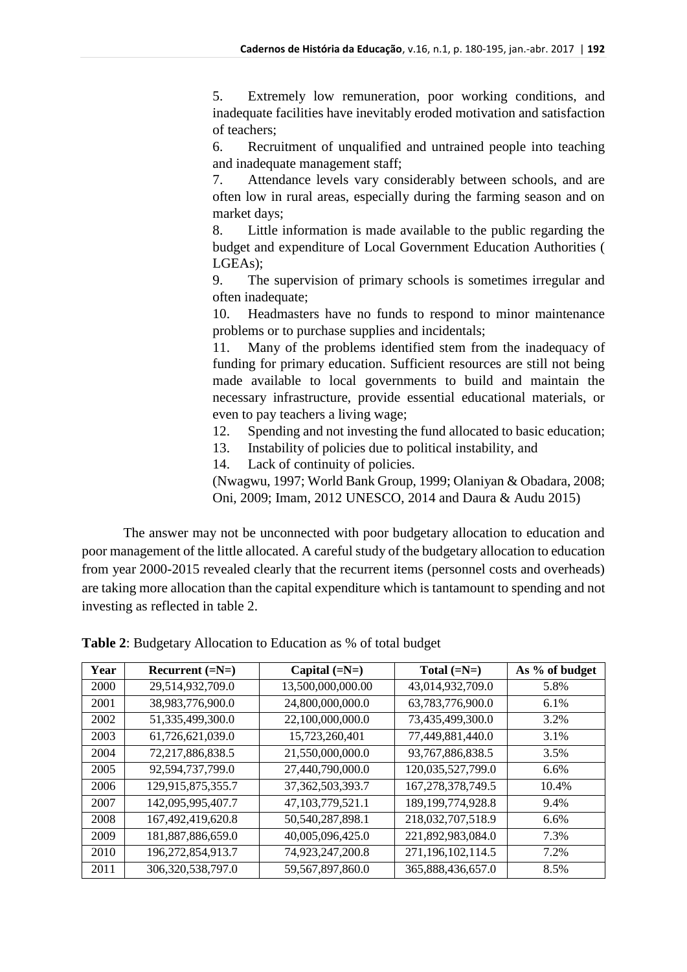5. Extremely low remuneration, poor working conditions, and inadequate facilities have inevitably eroded motivation and satisfaction of teachers;

6. Recruitment of unqualified and untrained people into teaching and inadequate management staff;

7. Attendance levels vary considerably between schools, and are often low in rural areas, especially during the farming season and on market days;

8. Little information is made available to the public regarding the budget and expenditure of Local Government Education Authorities ( LGEAs);

9. The supervision of primary schools is sometimes irregular and often inadequate;

10. Headmasters have no funds to respond to minor maintenance problems or to purchase supplies and incidentals;

11. Many of the problems identified stem from the inadequacy of funding for primary education. Sufficient resources are still not being made available to local governments to build and maintain the necessary infrastructure, provide essential educational materials, or even to pay teachers a living wage;

12. Spending and not investing the fund allocated to basic education;

13. Instability of policies due to political instability, and

14. Lack of continuity of policies.

(Nwagwu, 1997; World Bank Group, 1999; Olaniyan & Obadara, 2008; Oni, 2009; Imam, 2012 UNESCO, 2014 and Daura & Audu 2015)

The answer may not be unconnected with poor budgetary allocation to education and poor management of the little allocated. A careful study of the budgetary allocation to education from year 2000-2015 revealed clearly that the recurrent items (personnel costs and overheads) are taking more allocation than the capital expenditure which is tantamount to spending and not investing as reflected in table 2.

| Year | Recurrent $(=N=)$ | Capital $(=N=)$      | Total $(=N=)$        | As % of budget |
|------|-------------------|----------------------|----------------------|----------------|
| 2000 | 29,514,932,709.0  | 13,500,000,000.00    | 43,014,932,709.0     | 5.8%           |
| 2001 | 38,983,776,900.0  | 24,800,000,000.0     | 63,783,776,900.0     | 6.1%           |
| 2002 | 51,335,499,300.0  | 22,100,000,000.0     | 73,435,499,300.0     | 3.2%           |
| 2003 | 61,726,621,039.0  | 15,723,260,401       | 77,449,881,440.0     | 3.1%           |
| 2004 | 72,217,886,838.5  | 21,550,000,000.0     | 93,767,886,838.5     | 3.5%           |
| 2005 | 92,594,737,799.0  | 27,440,790,000.0     | 120,035,527,799.0    | 6.6%           |
| 2006 | 129,915,875,355.7 | 37, 362, 503, 393. 7 | 167, 278, 378, 749.5 | 10.4%          |
| 2007 | 142,095,995,407.7 | 47,103,779,521.1     | 189, 199, 774, 928.8 | 9.4%           |
| 2008 | 167,492,419,620.8 | 50,540,287,898.1     | 218,032,707,518.9    | 6.6%           |
| 2009 | 181,887,886,659.0 | 40,005,096,425.0     | 221,892,983,084.0    | 7.3%           |
| 2010 | 196,272,854,913.7 | 74,923,247,200.8     | 271,196,102,114.5    | 7.2%           |
| 2011 | 306,320,538,797.0 | 59,567,897,860.0     | 365,888,436,657.0    | 8.5%           |

**Table 2**: Budgetary Allocation to Education as % of total budget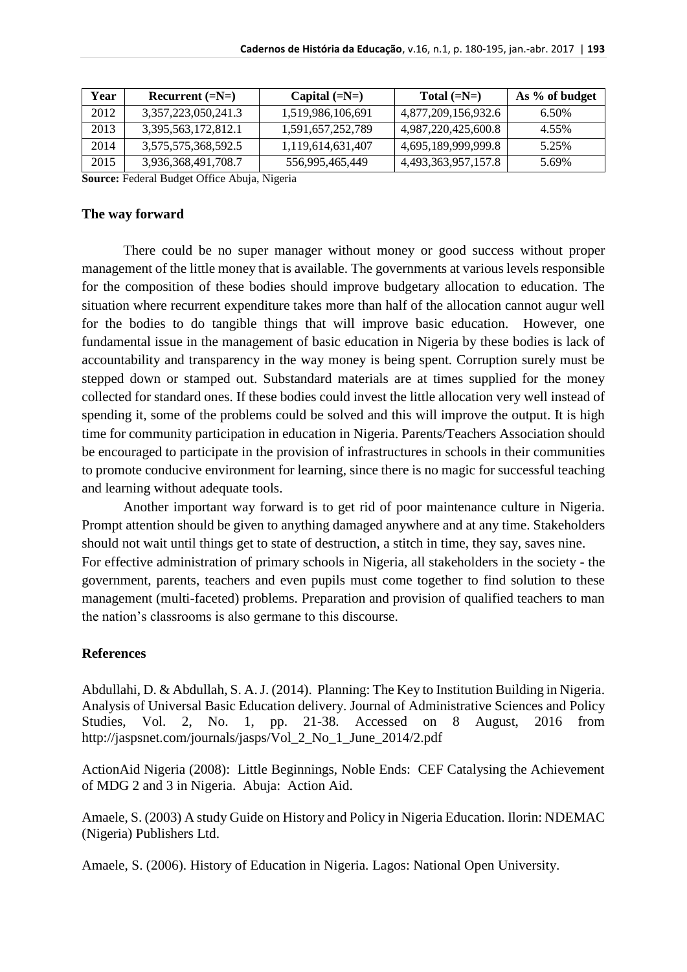| Year | Recurrent $(=N=)$   | Capital $(=\mathbb{N}=)$ | Total $(=\mathbb{N}=)$ | As % of budget |
|------|---------------------|--------------------------|------------------------|----------------|
| 2012 | 3,357,223,050,241.3 | 1,519,986,106,691        | 4,877,209,156,932.6    | 6.50%          |
| 2013 | 3,395,563,172,812.1 | 1,591,657,252,789        | 4,987,220,425,600.8    | 4.55%          |
| 2014 | 3,575,575,368,592.5 | 1,119,614,631,407        | 4,695,189,999,999.8    | 5.25%          |
| 2015 | 3,936,368,491,708.7 | 556,995,465,449          | 4,493,363,957,157.8    | 5.69%          |

**Source:** Federal Budget Office Abuja, Nigeria

#### **The way forward**

There could be no super manager without money or good success without proper management of the little money that is available. The governments at various levels responsible for the composition of these bodies should improve budgetary allocation to education. The situation where recurrent expenditure takes more than half of the allocation cannot augur well for the bodies to do tangible things that will improve basic education. However, one fundamental issue in the management of basic education in Nigeria by these bodies is lack of accountability and transparency in the way money is being spent. Corruption surely must be stepped down or stamped out. Substandard materials are at times supplied for the money collected for standard ones. If these bodies could invest the little allocation very well instead of spending it, some of the problems could be solved and this will improve the output. It is high time for community participation in education in Nigeria. Parents/Teachers Association should be encouraged to participate in the provision of infrastructures in schools in their communities to promote conducive environment for learning, since there is no magic for successful teaching and learning without adequate tools.

Another important way forward is to get rid of poor maintenance culture in Nigeria. Prompt attention should be given to anything damaged anywhere and at any time. Stakeholders should not wait until things get to state of destruction, a stitch in time, they say, saves nine. For effective administration of primary schools in Nigeria, all stakeholders in the society - the government, parents, teachers and even pupils must come together to find solution to these management (multi-faceted) problems. Preparation and provision of qualified teachers to man the nation's classrooms is also germane to this discourse.

## **References**

Abdullahi, D. & Abdullah, S. A. J. (2014).Planning: The Key to Institution Building in Nigeria. Analysis of Universal Basic Education delivery. Journal of Administrative Sciences and Policy Studies, Vol. 2, No. 1, pp. 21-38. Accessed on 8 August, 2016 from http://jaspsnet.com/journals/jasps/Vol\_2\_No\_1\_June\_2014/2.pdf

ActionAid Nigeria (2008): Little Beginnings, Noble Ends: CEF Catalysing the Achievement of MDG 2 and 3 in Nigeria. Abuja: Action Aid.

Amaele, S. (2003) A study Guide on History and Policy in Nigeria Education. Ilorin: NDEMAC (Nigeria) Publishers Ltd.

Amaele, S. (2006). History of Education in Nigeria. Lagos: National Open University.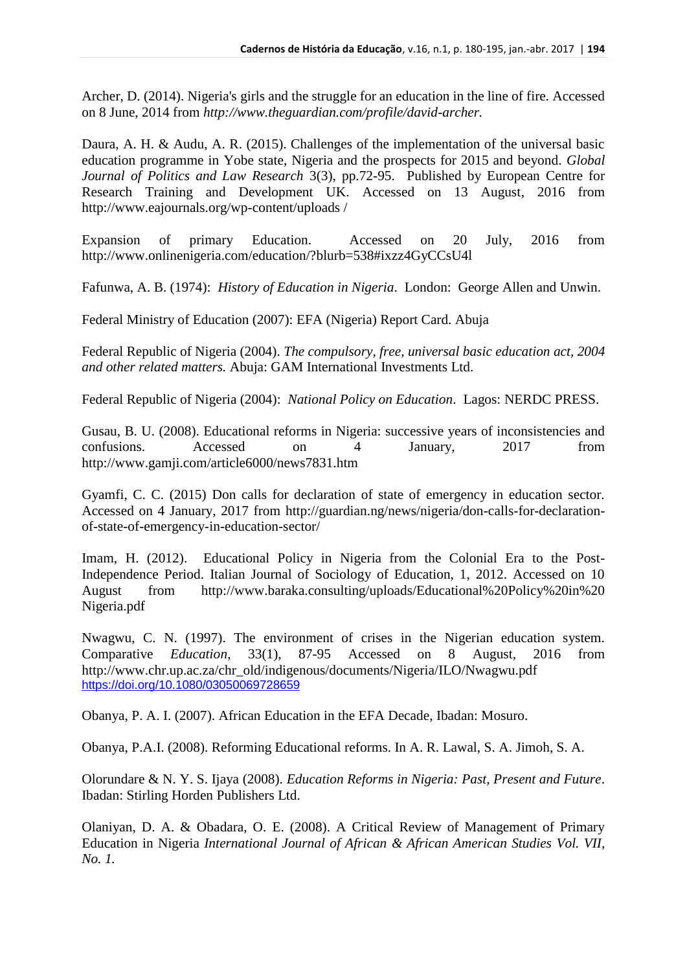Archer, D. (2014). Nigeria's girls and the struggle for an education in the line of fire. Accessed on 8 June, 2014 from *http://www.theguardian.com/profile/david-archer.*

Daura, A. H. & Audu, A. R. (2015). Challenges of the implementation of the universal basic education programme in Yobe state, Nigeria and the prospects for 2015 and beyond. *Global Journal of Politics and Law Research* 3(3), pp.72-95. Published by European Centre for Research Training and Development UK. Accessed on 13 August, 2016 from http://www.eajournals.org/wp-content/uploads /

Expansion of primary Education. Accessed on 20 July, 2016 from http://www.onlinenigeria.com/education/?blurb=538#ixzz4GyCCsU4l

Fafunwa, A. B. (1974): *History of Education in Nigeria*. London: George Allen and Unwin.

Federal Ministry of Education (2007): EFA (Nigeria) Report Card. Abuja

Federal Republic of Nigeria (2004). *The compulsory, free, universal basic education act, 2004 and other related matters.* Abuja: GAM International Investments Ltd.

Federal Republic of Nigeria (2004): *National Policy on Education*. Lagos: NERDC PRESS.

Gusau, B. U. (2008). Educational reforms in Nigeria: successive years of inconsistencies and confusions. Accessed on 4 January, 2017 from http://www.gamji.com/article6000/news7831.htm

Gyamfi, C. C. (2015) Don calls for declaration of state of emergency in education sector. Accessed on 4 January, 2017 from http://guardian.ng/news/nigeria/don-calls-for-declarationof-state-of-emergency-in-education-sector/

Imam, H. (2012). Educational Policy in Nigeria from the Colonial Era to the Post-Independence Period. Italian Journal of Sociology of Education, 1, 2012. Accessed on 10 August from http://www.baraka.consulting/uploads/Educational%20Policy%20in%20 Nigeria.pdf

Nwagwu, C. N. (1997). The environment of crises in the Nigerian education system. Comparative *Education*, 33(1), 87-95 Accessed on 8 August, 2016 from http://www.chr.up.ac.za/chr\_old/indigenous/documents/Nigeria/ILO/Nwagwu.pdf <https://doi.org/10.1080/03050069728659>

Obanya, P. A. I. (2007). African Education in the EFA Decade, Ibadan: Mosuro.

Obanya, P.A.I. (2008). Reforming Educational reforms. In A. R. Lawal, S. A. Jimoh, S. A.

Olorundare & N. Y. S. Ijaya (2008). *Education Reforms in Nigeria: Past, Present and Future*. Ibadan: Stirling Horden Publishers Ltd.

Olaniyan, D. A. & Obadara, O. E. (2008). A Critical Review of Management of Primary Education in Nigeria *International Journal of African & African American Studies Vol. VII, No. 1.*